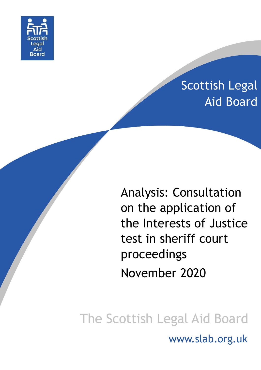

# Scottish Legal Aid Board

Analysis: Consultation on the application of the Interests of Justice test in sheriff court proceedings November 2020

The Scottish Legal Aid Board www.slab.org.uk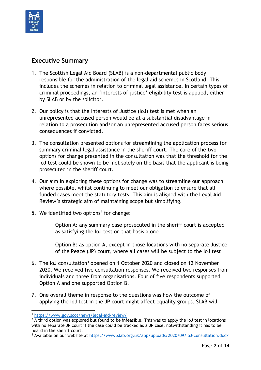

#### <span id="page-1-0"></span>**Executive Summary**

- 1. The Scottish Legal Aid Board (SLAB) is a non-departmental public body responsible for the administration of the legal aid schemes in Scotland. This includes the schemes in relation to criminal legal assistance. In certain types of criminal proceedings, an 'interests of justice' eligibility test is applied, either by SLAB or by the solicitor.
- 2. Our policy is that the Interests of Justice (IoJ) test is met when an unrepresented accused person would be at a substantial disadvantage in relation to a prosecution and/or an unrepresented accused person faces serious consequences if convicted.
- 3. The consultation presented options for streamlining the application process for summary criminal legal assistance in the sheriff court. The core of the two options for change presented in the consultation was that the threshold for the IoJ test could be shown to be met solely on the basis that the applicant is being prosecuted in the sheriff court.
- 4. Our aim in exploring these options for change was to streamline our approach where possible, whilst continuing to meet our obligation to ensure that all funded cases meet the statutory tests. This aim is aligned with the Legal Aid Review's strategic aim of maintaining scope but simplifying.<sup>1</sup>
- 5. We identified two options<sup>2</sup> for change:

Option A: any summary case prosecuted in the sheriff court is accepted as satisfying the IoJ test on that basis alone

Option B: as option A, except in those locations with no separate Justice of the Peace (JP) court, where all cases will be subject to the IoJ test

- 6. The IoJ consultation<sup>3</sup> opened on 1 October 2020 and closed on 12 November 2020. We received five consultation responses. We received two responses from individuals and three from organisations. Four of five respondents supported Option A and one supported Option B.
- 7. One overall theme in response to the questions was how the outcome of applying the IoJ test in the JP court might affect equality groups. SLAB will

<sup>3</sup> Available on our website at<https://www.slab.org.uk/app/uploads/2020/09/IoJ-consultation.docx>

**<sup>.</sup>** <sup>1</sup> <https://www.gov.scot/news/legal-aid-review/>

 $2\overline{A}$  third option was explored but found to be infeasible. This was to apply the IoJ test in locations with no separate JP court if the case could be tracked as a JP case, notwithstanding it has to be heard in the sheriff court.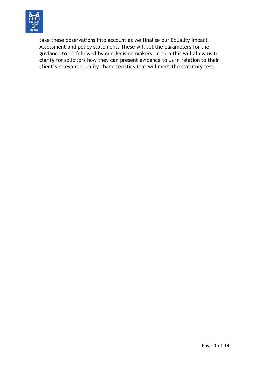

take these observations into account as we finalise our Equality Impact Assessment and policy statement. These will set the parameters for the guidance to be followed by our decision makers. In turn this will allow us to clarify for solicitors how they can present evidence to us in relation to their client's relevant equality characteristics that will meet the statutory test.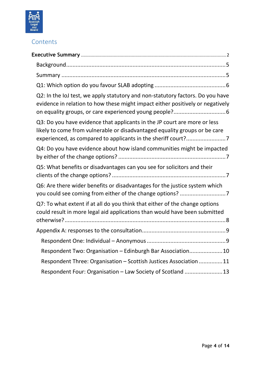

## **Contents**

| Q2: In the IoJ test, we apply statutory and non-statutory factors. Do you have<br>evidence in relation to how these might impact either positively or negatively |  |
|------------------------------------------------------------------------------------------------------------------------------------------------------------------|--|
| Q3: Do you have evidence that applicants in the JP court are more or less<br>likely to come from vulnerable or disadvantaged equality groups or be care          |  |
| Q4: Do you have evidence about how island communities might be impacted                                                                                          |  |
| Q5: What benefits or disadvantages can you see for solicitors and their                                                                                          |  |
| Q6: Are there wider benefits or disadvantages for the justice system which                                                                                       |  |
| Q7: To what extent if at all do you think that either of the change options<br>could result in more legal aid applications than would have been submitted        |  |
|                                                                                                                                                                  |  |
|                                                                                                                                                                  |  |
| Respondent Two: Organisation - Edinburgh Bar Association10                                                                                                       |  |
| Respondent Three: Organisation - Scottish Justices Association 11                                                                                                |  |
| Respondent Four: Organisation - Law Society of Scotland 13                                                                                                       |  |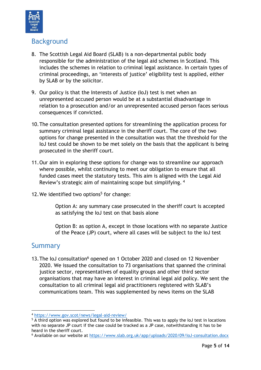

## <span id="page-4-0"></span>Background

- 8. The Scottish Legal Aid Board (SLAB) is a non-departmental public body responsible for the administration of the legal aid schemes in Scotland. This includes the schemes in relation to criminal legal assistance. In certain types of criminal proceedings, an 'interests of justice' eligibility test is applied, either by SLAB or by the solicitor.
- 9. Our policy is that the Interests of Justice (IoJ) test is met when an unrepresented accused person would be at a substantial disadvantage in relation to a prosecution and/or an unrepresented accused person faces serious consequences if convicted.
- 10.The consultation presented options for streamlining the application process for summary criminal legal assistance in the sheriff court. The core of the two options for change presented in the consultation was that the threshold for the IoJ test could be shown to be met solely on the basis that the applicant is being prosecuted in the sheriff court.
- 11.Our aim in exploring these options for change was to streamline our approach where possible, whilst continuing to meet our obligation to ensure that all funded cases meet the statutory tests. This aim is aligned with the Legal Aid Review's strategic aim of maintaining scope but simplifying. <sup>4</sup>
- 12. We identified two options<sup>5</sup> for change:

Option A: any summary case prosecuted in the sheriff court is accepted as satisfying the IoJ test on that basis alone

Option B: as option A, except in those locations with no separate Justice of the Peace (JP) court, where all cases will be subject to the IoJ test

### <span id="page-4-1"></span>Summary

13. The IoJ consultation<sup>6</sup> opened on 1 October 2020 and closed on 12 November 2020. We issued the consultation to 73 organisations that spanned the criminal justice sector, representatives of equality groups and other third sector organisations that may have an interest in criminal legal aid policy. We sent the consultation to all criminal legal aid practitioners registered with SLAB's communications team. This was supplemented by news items on the SLAB

**<sup>.</sup>** <sup>4</sup> <https://www.gov.scot/news/legal-aid-review/>

 $5\overline{A}$  third option was explored but found to be infeasible. This was to apply the IoJ test in locations with no separate JP court if the case could be tracked as a JP case, notwithstanding it has to be heard in the sheriff court.

<sup>6</sup> Available on our website at<https://www.slab.org.uk/app/uploads/2020/09/IoJ-consultation.docx>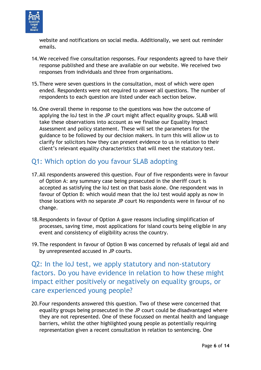

website and notifications on social media. Additionally, we sent out reminder emails.

- 14.We received five consultation responses. Four respondents agreed to have their response published and these are available on our website. We received two responses from individuals and three from organisations.
- 15.There were seven questions in the consultation, most of which were open ended. Respondents were not required to answer all questions. The number of respondents to each question are listed under each section below.
- 16.One overall theme in response to the questions was how the outcome of applying the IoJ test in the JP court might affect equality groups. SLAB will take these observations into account as we finalise our Equality Impact Assessment and policy statement. These will set the parameters for the guidance to be followed by our decision makers. In turn this will allow us to clarify for solicitors how they can present evidence to us in relation to their client's relevant equality characteristics that will meet the statutory test.

# <span id="page-5-0"></span>Q1: Which option do you favour SLAB adopting

- 17.All respondents answered this question. Four of five respondents were in favour of Option A: any summary case being prosecuted in the sheriff court is accepted as satisfying the IoJ test on that basis alone. One respondent was in favour of Option B: which would mean that the IoJ test would apply as now in those locations with no separate JP court No respondents were in favour of no change.
- 18.Respondents in favour of Option A gave reasons including simplification of processes, saving time, most applications for island courts being eligible in any event and consistency of eligibility across the country.
- 19.The respondent in favour of Option B was concerned by refusals of legal aid and by unrepresented accused in JP courts.

<span id="page-5-1"></span>Q2: In the IoJ test, we apply statutory and non-statutory factors. Do you have evidence in relation to how these might impact either positively or negatively on equality groups, or care experienced young people?

20.Four respondents answered this question. Two of these were concerned that equality groups being prosecuted in the JP court could be disadvantaged where they are not represented. One of these focussed on mental health and language barriers, whilst the other highlighted young people as potentially requiring representation given a recent consultation in relation to sentencing. One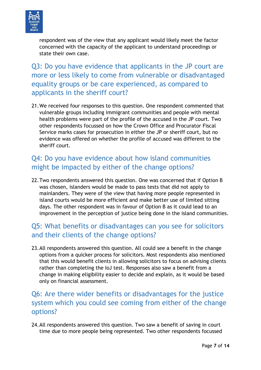

respondent was of the view that any applicant would likely meet the factor concerned with the capacity of the applicant to understand proceedings or state their own case.

<span id="page-6-0"></span>Q3: Do you have evidence that applicants in the JP court are more or less likely to come from vulnerable or disadvantaged equality groups or be care experienced, as compared to applicants in the sheriff court?

21.We received four responses to this question. One respondent commented that vulnerable groups including immigrant communities and people with mental health problems were part of the profile of the accused in the JP court. Two other respondents focussed on how the Crown Office and Procurator Fiscal Service marks cases for prosecution in either the JP or sheriff court, but no evidence was offered on whether the profile of accused was different to the sheriff court.

# <span id="page-6-1"></span>Q4: Do you have evidence about how island communities might be impacted by either of the change options?

22.Two respondents answered this question. One was concerned that if Option B was chosen, islanders would be made to pass tests that did not apply to mainlanders. They were of the view that having more people represented in island courts would be more efficient and make better use of limited sitting days. The other respondent was in favour of Option B as it could lead to an improvement in the perception of justice being done in the island communities.

## <span id="page-6-2"></span>Q5: What benefits or disadvantages can you see for solicitors and their clients of the change options?

23.All respondents answered this question. All could see a benefit in the change options from a quicker process for solicitors. Most respondents also mentioned that this would benefit clients in allowing solicitors to focus on advising clients rather than completing the IoJ test. Responses also saw a benefit from a change in making eligibility easier to decide and explain, as it would be based only on financial assessment.

# <span id="page-6-3"></span>Q6: Are there wider benefits or disadvantages for the justice system which you could see coming from either of the change options?

24.All respondents answered this question. Two saw a benefit of saving in court time due to more people being represented. Two other respondents focussed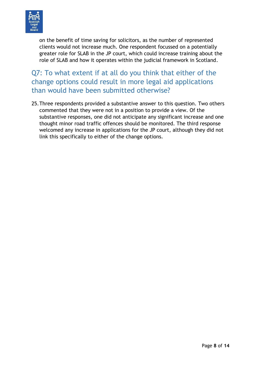

on the benefit of time saving for solicitors, as the number of represented clients would not increase much. One respondent focussed on a potentially greater role for SLAB in the JP court, which could increase training about the role of SLAB and how it operates within the judicial framework in Scotland.

<span id="page-7-0"></span>Q7: To what extent if at all do you think that either of the change options could result in more legal aid applications than would have been submitted otherwise?

25.Three respondents provided a substantive answer to this question. Two others commented that they were not in a position to provide a view. Of the substantive responses, one did not anticipate any significant increase and one thought minor road traffic offences should be monitored. The third response welcomed any increase in applications for the JP court, although they did not link this specifically to either of the change options.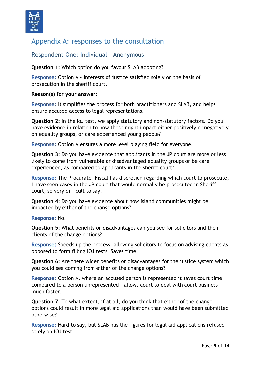

## <span id="page-8-0"></span>Appendix A: responses to the consultation

#### <span id="page-8-1"></span>Respondent One: Individual – Anonymous

**Question 1:** Which option do you favour SLAB adopting?

**Response:** Option A - interests of justice satisfied solely on the basis of prosecution in the sheriff court.

#### **Reason(s) for your answer:**

**Response:** It simplifies the process for both practitioners and SLAB, and helps ensure accused access to legal representations.

**Question 2:** In the IoJ test, we apply statutory and non-statutory factors. Do you have evidence in relation to how these might impact either positively or negatively on equality groups, or care experienced young people?

**Response:** Option A ensures a more level playing field for everyone.

**Question 3:** Do you have evidence that applicants in the JP court are more or less likely to come from vulnerable or disadvantaged equality groups or be care experienced, as compared to applicants in the sheriff court?

**Response:** The Procurator Fiscal has discretion regarding which court to prosecute, I have seen cases in the JP court that would normally be prosecuted in Sheriff court, so very difficult to say.

**Question 4:** Do you have evidence about how island communities might be impacted by either of the change options?

**Response:** No.

**Question 5:** What benefits or disadvantages can you see for solicitors and their clients of the change options?

**Response:** Speeds up the process, allowing solicitors to focus on advising clients as opposed to form filling IOJ tests. Saves time.

**Question 6:** Are there wider benefits or disadvantages for the justice system which you could see coming from either of the change options?

**Response:** Option A, where an accused person is represented it saves court time compared to a person unrepresented – allows court to deal with court business much faster.

**Question 7:** To what extent, if at all, do you think that either of the change options could result in more legal aid applications than would have been submitted otherwise?

**Response:** Hard to say, but SLAB has the figures for legal aid applications refused solely on IOJ test.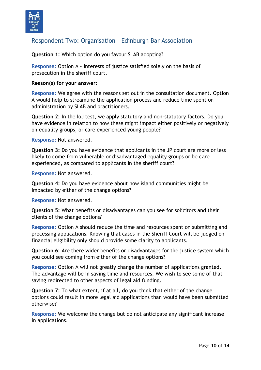

#### <span id="page-9-0"></span>Respondent Two: Organisation – Edinburgh Bar Association

**Question 1:** Which option do you favour SLAB adopting?

**Response:** Option A - interests of justice satisfied solely on the basis of prosecution in the sheriff court.

#### **Reason(s) for your answer:**

**Response:** We agree with the reasons set out in the consultation document. Option A would help to streamline the application process and reduce time spent on administration by SLAB and practitioners.

**Question 2:** In the IoJ test, we apply statutory and non-statutory factors. Do you have evidence in relation to how these might impact either positively or negatively on equality groups, or care experienced young people?

**Response:** Not answered.

**Question 3:** Do you have evidence that applicants in the JP court are more or less likely to come from vulnerable or disadvantaged equality groups or be care experienced, as compared to applicants in the sheriff court?

**Response:** Not answered.

**Question 4:** Do you have evidence about how island communities might be impacted by either of the change options?

**Response:** Not answered.

**Question 5:** What benefits or disadvantages can you see for solicitors and their clients of the change options?

**Response:** Option A should reduce the time and resources spent on submitting and processing applications. Knowing that cases in the Sheriff Court will be judged on financial eligibility only should provide some clarity to applicants.

**Question 6:** Are there wider benefits or disadvantages for the justice system which you could see coming from either of the change options?

**Response:** Option A will not greatly change the number of applications granted. The advantage will be in saving time and resources. We wish to see some of that saving redirected to other aspects of legal aid funding.

**Question 7:** To what extent, if at all, do you think that either of the change options could result in more legal aid applications than would have been submitted otherwise?

**Response:** We welcome the change but do not anticipate any significant increase in applications.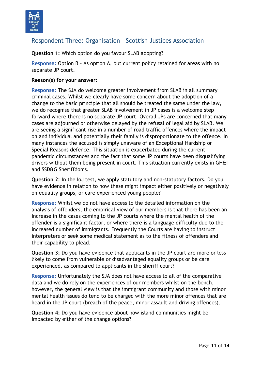

#### <span id="page-10-0"></span>Respondent Three: Organisation – Scottish Justices Association

**Question 1:** Which option do you favour SLAB adopting?

**Response:** Option B – As option A, but current policy retained for areas with no separate JP court.

#### **Reason(s) for your answer:**

**Response:** The SJA do welcome greater involvement from SLAB in all summary criminal cases. Whilst we clearly have some concern about the adoption of a change to the basic principle that all should be treated the same under the law, we do recognise that greater SLAB involvement in JP cases is a welcome step forward where there is no separate JP court. Overall JPs are concerned that many cases are adjourned or otherwise delayed by the refusal of legal aid by SLAB. We are seeing a significant rise in a number of road traffic offences where the impact on and individual and potentially their family is disproportionate to the offence. In many instances the accused is simply unaware of an Exceptional Hardship or Special Reasons defence. This situation is exacerbated during the current pandemic circumstances and the fact that some JP courts have been disqualifying drivers without them being present in court. This situation currently exists in GH&I and SSD&G Sheriffdoms.

**Question 2:** In the IoJ test, we apply statutory and non-statutory factors. Do you have evidence in relation to how these might impact either positively or negatively on equality groups, or care experienced young people?

**Response:** Whilst we do not have access to the detailed information on the analysis of offenders, the empirical view of our members is that there has been an increase in the cases coming to the JP courts where the mental health of the offender is a significant factor, or where there is a language difficulty due to the increased number of immigrants. Frequently the Courts are having to instruct interpreters or seek some medical statement as to the fitness of offenders and their capability to plead.

**Question 3:** Do you have evidence that applicants in the JP court are more or less likely to come from vulnerable or disadvantaged equality groups or be care experienced, as compared to applicants in the sheriff court?

**Response:** Unfortunately the SJA does not have access to all of the comparative data and we do rely on the experiences of our members whilst on the bench, however, the general view is that the immigrant community and those with minor mental health issues do tend to be charged with the more minor offences that are heard in the JP court (breach of the peace, minor assault and driving offences).

**Question 4:** Do you have evidence about how island communities might be impacted by either of the change options?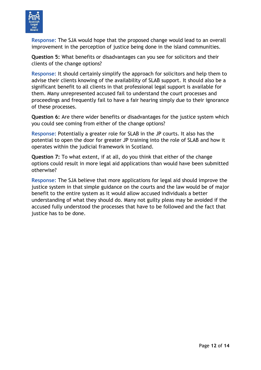

**Response:** The SJA would hope that the proposed change would lead to an overall improvement in the perception of justice being done in the island communities.

**Question 5:** What benefits or disadvantages can you see for solicitors and their clients of the change options?

**Response:** It should certainly simplify the approach for solicitors and help them to advise their clients knowing of the availability of SLAB support. It should also be a significant benefit to all clients in that professional legal support is available for them. Many unrepresented accused fail to understand the court processes and proceedings and frequently fail to have a fair hearing simply due to their ignorance of these processes.

**Question 6:** Are there wider benefits or disadvantages for the justice system which you could see coming from either of the change options?

**Response:** Potentially a greater role for SLAB in the JP courts. It also has the potential to open the door for greater JP training into the role of SLAB and how it operates within the judicial framework in Scotland.

**Question 7:** To what extent, if at all, do you think that either of the change options could result in more legal aid applications than would have been submitted otherwise?

**Response:** The SJA believe that more applications for legal aid should improve the justice system in that simple guidance on the courts and the law would be of major benefit to the entire system as it would allow accused individuals a better understanding of what they should do. Many not guilty pleas may be avoided if the accused fully understood the processes that have to be followed and the fact that justice has to be done.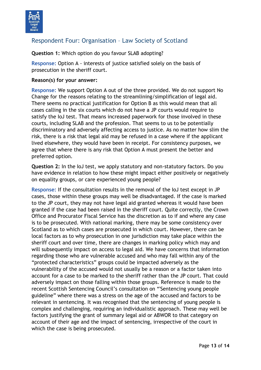

### <span id="page-12-0"></span>Respondent Four: Organisation – Law Society of Scotland

**Question 1:** Which option do you favour SLAB adopting?

**Response:** Option A - interests of justice satisfied solely on the basis of prosecution in the sheriff court.

#### **Reason(s) for your answer:**

**Response:** We support Option A out of the three provided. We do not support No Change for the reasons relating to the streamlining/simplification of legal aid. There seems no practical justification for Option B as this would mean that all cases calling in the six courts which do not have a JP courts would require to satisfy the IoJ test. That means increased paperwork for those involved in these courts, including SLAB and the profession. That seems to us to be potentially discriminatory and adversely affecting access to justice. As no matter how slim the risk, there is a risk that legal aid may be refused in a case where if the applicant lived elsewhere, they would have been in receipt. For consistency purposes, we agree that where there is any risk that Option A must present the better and preferred option.

**Question 2:** In the IoJ test, we apply statutory and non-statutory factors. Do you have evidence in relation to how these might impact either positively or negatively on equality groups, or care experienced young people?

**Response:** If the consultation results in the removal of the IoJ test except in JP cases, those within these groups may well be disadvantaged. If the case is marked to the JP court, they may not have legal aid granted whereas it would have been granted if the case had been raised in the sheriff court. Quite correctly, the Crown Office and Procurator Fiscal Service has the discretion as to if and where any case is to be prosecuted. With national marking, there may be some consistency over Scotland as to which cases are prosecuted in which court. However, there can be local factors as to why prosecution in one jurisdiction may take place within the sheriff court and over time, there are changes in marking policy which may and will subsequently impact on access to legal aid. We have concerns that information regarding those who are vulnerable accused and who may fall within any of the "protected characteristics" groups could be impacted adversely as the vulnerability of the accused would not usually be a reason or a factor taken into account for a case to be marked to the sheriff rather than the JP court. That could adversely impact on those falling within those groups. Reference is made to the recent Scottish Sentencing Council's consultation on "'Sentencing young people guideline" where there was a stress on the age of the accused and factors to be relevant in sentencing. It was recognised that the sentencing of young people is complex and challenging, requiring an individualistic approach. These may well be factors justifying the grant of summary legal aid or ABWOR to that category on account of their age and the impact of sentencing, irrespective of the court in which the case is being prosecuted.